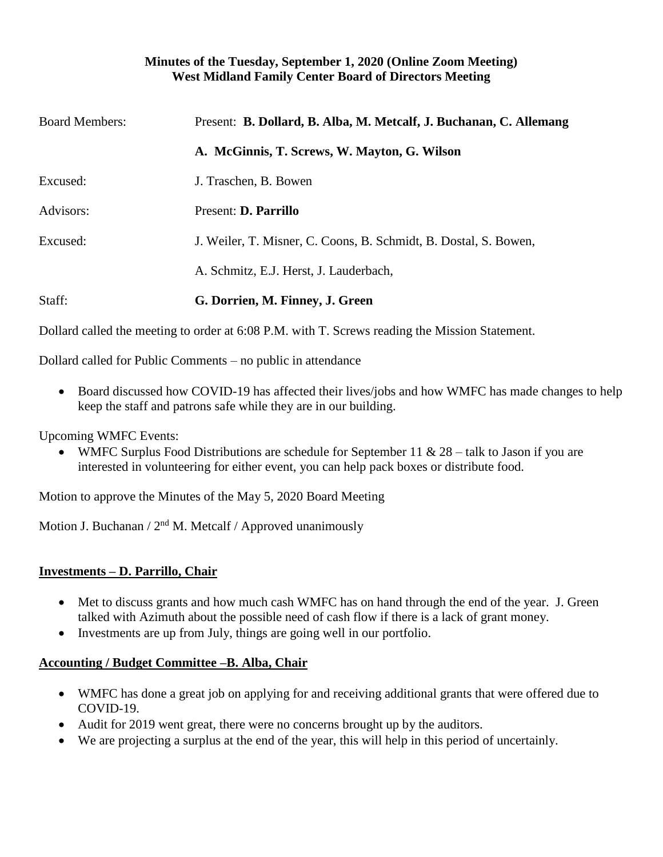## **Minutes of the Tuesday, September 1, 2020 (Online Zoom Meeting) West Midland Family Center Board of Directors Meeting**

| <b>Board Members:</b> | Present: B. Dollard, B. Alba, M. Metcalf, J. Buchanan, C. Allemang |
|-----------------------|--------------------------------------------------------------------|
|                       | A. McGinnis, T. Screws, W. Mayton, G. Wilson                       |
| Excused:              | J. Traschen, B. Bowen                                              |
| Advisors:             | Present: <b>D. Parrillo</b>                                        |
| Excused:              | J. Weiler, T. Misner, C. Coons, B. Schmidt, B. Dostal, S. Bowen,   |
|                       | A. Schmitz, E.J. Herst, J. Lauderbach,                             |
| Staff:                | G. Dorrien, M. Finney, J. Green                                    |

Dollard called the meeting to order at 6:08 P.M. with T. Screws reading the Mission Statement.

Dollard called for Public Comments – no public in attendance

• Board discussed how COVID-19 has affected their lives/jobs and how WMFC has made changes to help keep the staff and patrons safe while they are in our building.

Upcoming WMFC Events:

• WMFC Surplus Food Distributions are schedule for September 11 &  $28 -$  talk to Jason if you are interested in volunteering for either event, you can help pack boxes or distribute food.

Motion to approve the Minutes of the May 5, 2020 Board Meeting

Motion J. Buchanan /  $2<sup>nd</sup>$  M. Metcalf / Approved unanimously

## **Investments – D. Parrillo, Chair**

- Met to discuss grants and how much cash WMFC has on hand through the end of the year. J. Green talked with Azimuth about the possible need of cash flow if there is a lack of grant money.
- Investments are up from July, things are going well in our portfolio.

## **Accounting / Budget Committee –B. Alba, Chair**

- WMFC has done a great job on applying for and receiving additional grants that were offered due to COVID-19.
- Audit for 2019 went great, there were no concerns brought up by the auditors.
- We are projecting a surplus at the end of the year, this will help in this period of uncertainly.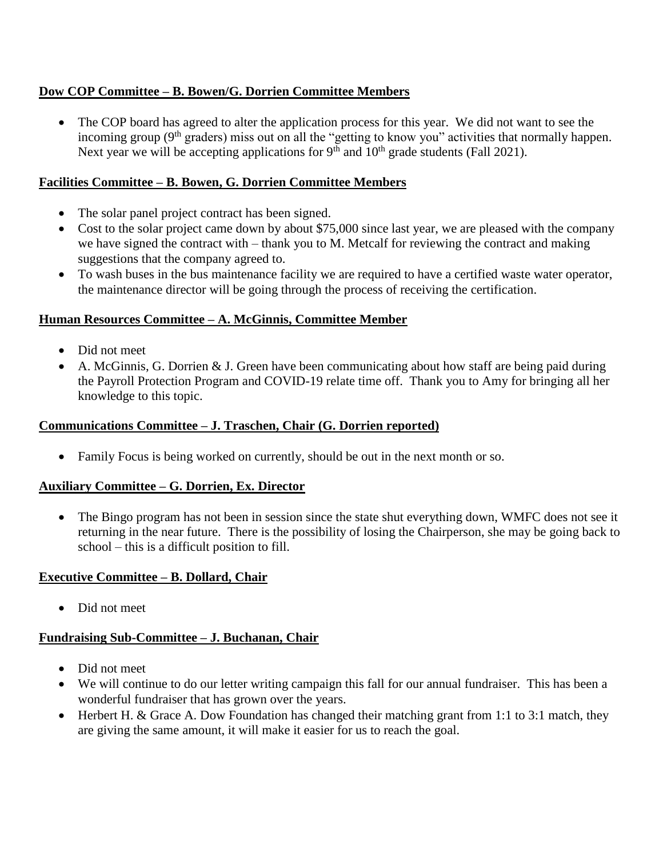# **Dow COP Committee – B. Bowen/G. Dorrien Committee Members**

• The COP board has agreed to alter the application process for this year. We did not want to see the incoming group  $(9<sup>th</sup>$  graders) miss out on all the "getting to know you" activities that normally happen. Next year we will be accepting applications for  $9<sup>th</sup>$  and  $10<sup>th</sup>$  grade students (Fall 2021).

## **Facilities Committee – B. Bowen, G. Dorrien Committee Members**

- The solar panel project contract has been signed.
- Cost to the solar project came down by about \$75,000 since last year, we are pleased with the company we have signed the contract with – thank you to M. Metcalf for reviewing the contract and making suggestions that the company agreed to.
- To wash buses in the bus maintenance facility we are required to have a certified waste water operator, the maintenance director will be going through the process of receiving the certification.

### **Human Resources Committee – A. McGinnis, Committee Member**

- Did not meet
- A. McGinnis, G. Dorrien  $&$  J. Green have been communicating about how staff are being paid during the Payroll Protection Program and COVID-19 relate time off. Thank you to Amy for bringing all her knowledge to this topic.

#### **Communications Committee – J. Traschen, Chair (G. Dorrien reported)**

• Family Focus is being worked on currently, should be out in the next month or so.

#### **Auxiliary Committee – G. Dorrien, Ex. Director**

• The Bingo program has not been in session since the state shut everything down, WMFC does not see it returning in the near future. There is the possibility of losing the Chairperson, she may be going back to school – this is a difficult position to fill.

#### **Executive Committee – B. Dollard, Chair**

• Did not meet

## **Fundraising Sub-Committee – J. Buchanan, Chair**

- Did not meet
- We will continue to do our letter writing campaign this fall for our annual fundraiser. This has been a wonderful fundraiser that has grown over the years.
- Herbert H. & Grace A. Dow Foundation has changed their matching grant from 1:1 to 3:1 match, they are giving the same amount, it will make it easier for us to reach the goal.